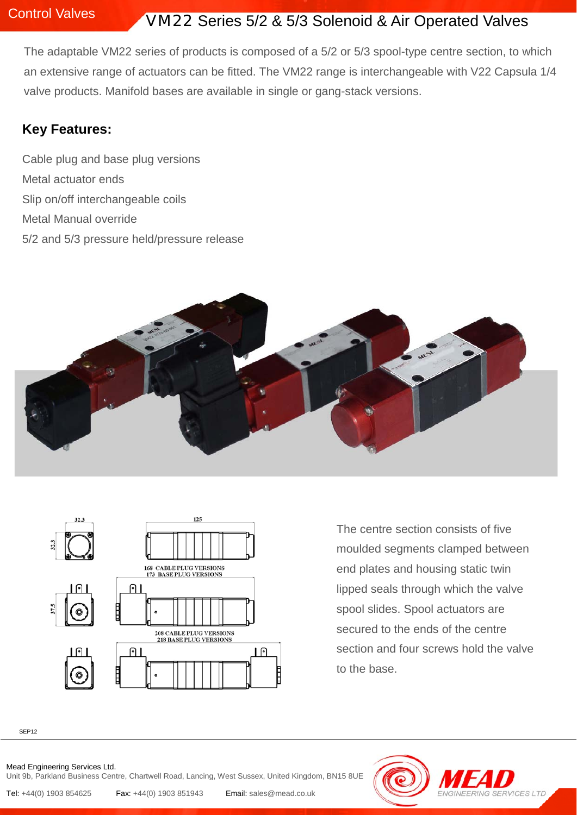# **Control Valves VM22** Series 5/2 & 5/3 Solenoid & Air Operated Valves

The adaptable VM22 series of products is composed of a 5/2 or 5/3 spool-type centre section, to which an extensive range of actuators can be fitted. The VM22 range is interchangeable with V22 Capsula 1/4 valve products. Manifold bases are available in single or gang-stack versions.

### **Key Features:**

Cable plug and base plug versions Metal actuator ends Slip on/off interchangeable coils Metal Manual override 5/2 and 5/3 pressure held/pressure release





The centre section consists of five moulded segments clamped between end plates and housing static twin lipped seals through which the valve spool slides. Spool actuators are secured to the ends of the centre section and four screws hold the valve to the base.

**ERVICES LTD** 

Mead Engineering Services Ltd. Unit 9b, Parkland Business Centre, Chartwell Road, Lancing, West Sussex, United Kingdom, BN15 8UE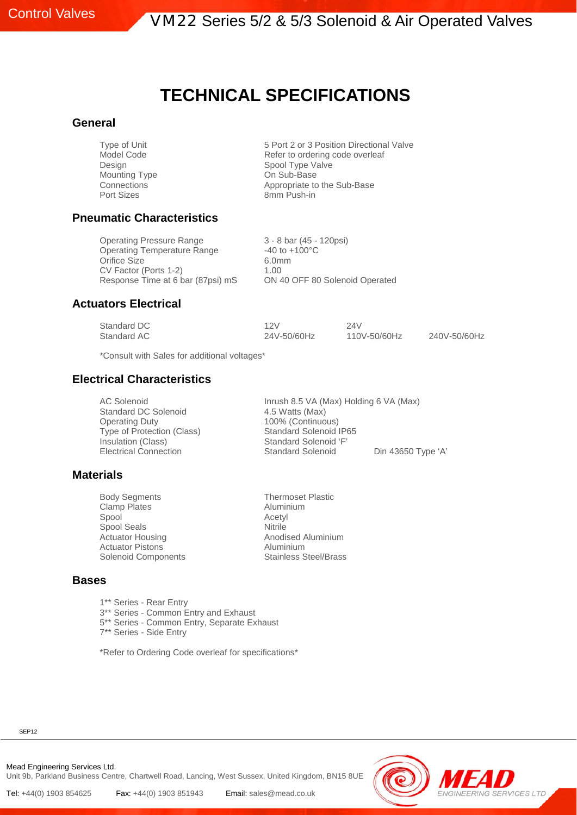### **TECHNICAL SPECIFICATIONS**

#### **General**

Design **Spool Type Valve**<br>
Mounting Type **Spool Type Valve**<br>
On Sub-Base Mounting Type<br>Connections Port Sizes 8mm Push-in

Type of Unit Type of Unit Content of Unit Server 2 or 3 Position Directional Valve<br>
Refer to ordering code overleaf Refer to ordering code overleaf Appropriate to the Sub-Base

#### **Pneumatic Characteristics**

Operating Pressure Range 3 - 8 bar (45 - 120psi)<br>Operating Temperature Range 40 to +100°C Operating Temperature Range Orifice Size 6.0mm CV Factor (Ports 1-2) 1.00<br>Response Time at 6 bar (87psi) mS 0N 40 OFF 80 Solenoid Operated Response Time at 6 bar (87psi) mS

#### **Actuators Electrical**

| Standard DC | 12V         | 24V          |              |
|-------------|-------------|--------------|--------------|
| Standard AC | 24V-50/60Hz | 110V-50/60Hz | 240V-50/60Hz |

\*Consult with Sales for additional voltages\*

#### **Electrical Characteristics**

AC Solenoid<br>
Standard DC Solenoid<br>
2.5 Watts (Max) Holding 6 VA (Max) Standard DC Solenoid Operating Duty 100% (Continuous) Type of Protection (Class) Standard Solenoid IP65<br>
Insulation (Class) Standard Solenoid 'F' Standard Solenoid 'F'<br>Standard Solenoid Electrical Connection Standard Solenoid Din 43650 Type 'A'

#### **Materials**

Body Segments Thermoset Plastic Clamp Plates Aluminium<br>Spool Acetyl Acetyl Spool Seals Nitrile Actuator Housing<br>
Anodised Aluminium<br>
Aluminium<br>
Aluminium Actuator Pistons<br>
Solenoid Components<br>
Stainless Steel/Brass Solenoid Components

#### **Bases**

1\*\* Series - Rear Entry

- 3\*\* Series Common Entry and Exhaust
- 5\*\* Series Common Entry, Separate Exhaust

7\*\* Series - Side Entry

\*Refer to Ordering Code overleaf for specifications\*

SEP12

Mead Engineering Services Ltd. Unit 9b, Parkland Business Centre, Chartwell Road, Lancing, West Sussex, United Kingdom, BN15 8UE

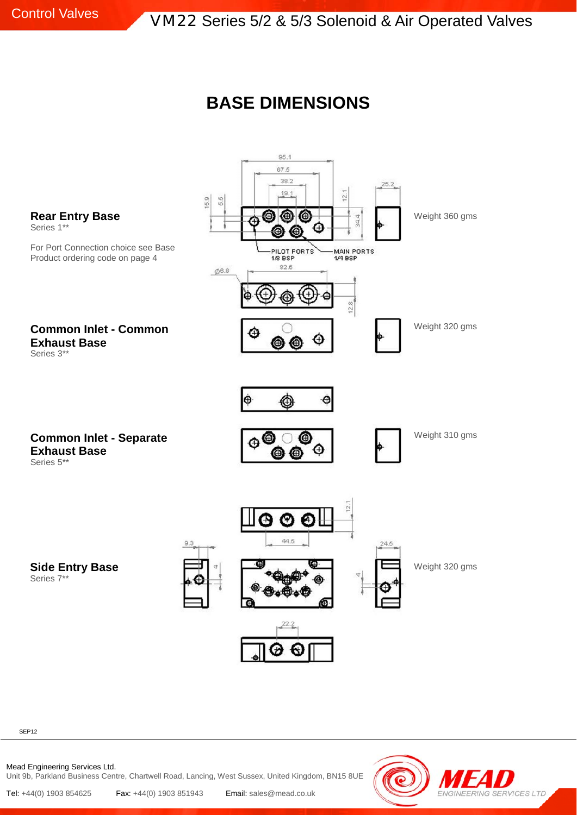## **BASE DIMENSIONS**



**G SERVICES LTD** 

SEP12

Mead Engineering Services Ltd. Unit 9b, Parkland Business Centre, Chartwell Road, Lancing, West Sussex, United Kingdom, BN15 8UE